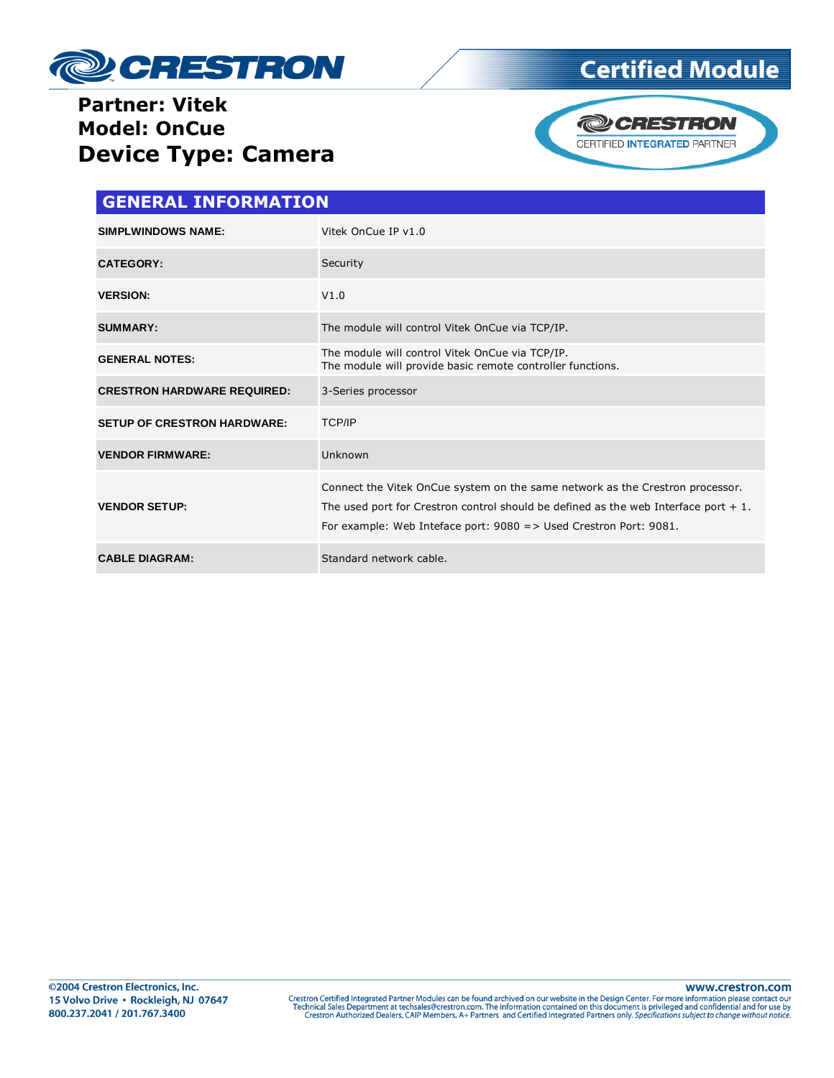

# **Certified Module**

### **Partner: Vitek Model: OnCue Device Type: Camera**



| <b>GENERAL INFORMATION</b>         |                                                                                                                                                                                                                                                           |  |
|------------------------------------|-----------------------------------------------------------------------------------------------------------------------------------------------------------------------------------------------------------------------------------------------------------|--|
| <b>SIMPLWINDOWS NAME:</b>          | Vitek OnCue IP v1.0                                                                                                                                                                                                                                       |  |
| <b>CATEGORY:</b>                   | Security                                                                                                                                                                                                                                                  |  |
| <b>VERSION:</b>                    | V1.0                                                                                                                                                                                                                                                      |  |
| <b>SUMMARY:</b>                    | The module will control Vitek OnCue via TCP/IP.                                                                                                                                                                                                           |  |
| <b>GENERAL NOTES:</b>              | The module will control Vitek OnCue via TCP/IP.<br>The module will provide basic remote controller functions.                                                                                                                                             |  |
| <b>CRESTRON HARDWARE REQUIRED:</b> | 3-Series processor                                                                                                                                                                                                                                        |  |
| <b>SETUP OF CRESTRON HARDWARE:</b> | <b>TCP/IP</b>                                                                                                                                                                                                                                             |  |
| <b>VENDOR FIRMWARE:</b>            | Unknown                                                                                                                                                                                                                                                   |  |
| <b>VENDOR SETUP:</b>               | Connect the Vitek OnCue system on the same network as the Crestron processor.<br>The used port for Crestron control should be defined as the web Interface port $+1$ .<br>For example: Web Inteface port: $9080 \Rightarrow$ Used Crestron Port: $9081$ . |  |
| <b>CABLE DIAGRAM:</b>              | Standard network cable.                                                                                                                                                                                                                                   |  |

www.crestron.com Crestron Certified Integrated Partner Modules can be found archived on our website in the Design Center. For more information please contact our<br>Technical Sales Department at techsales@crestron.com. The information contain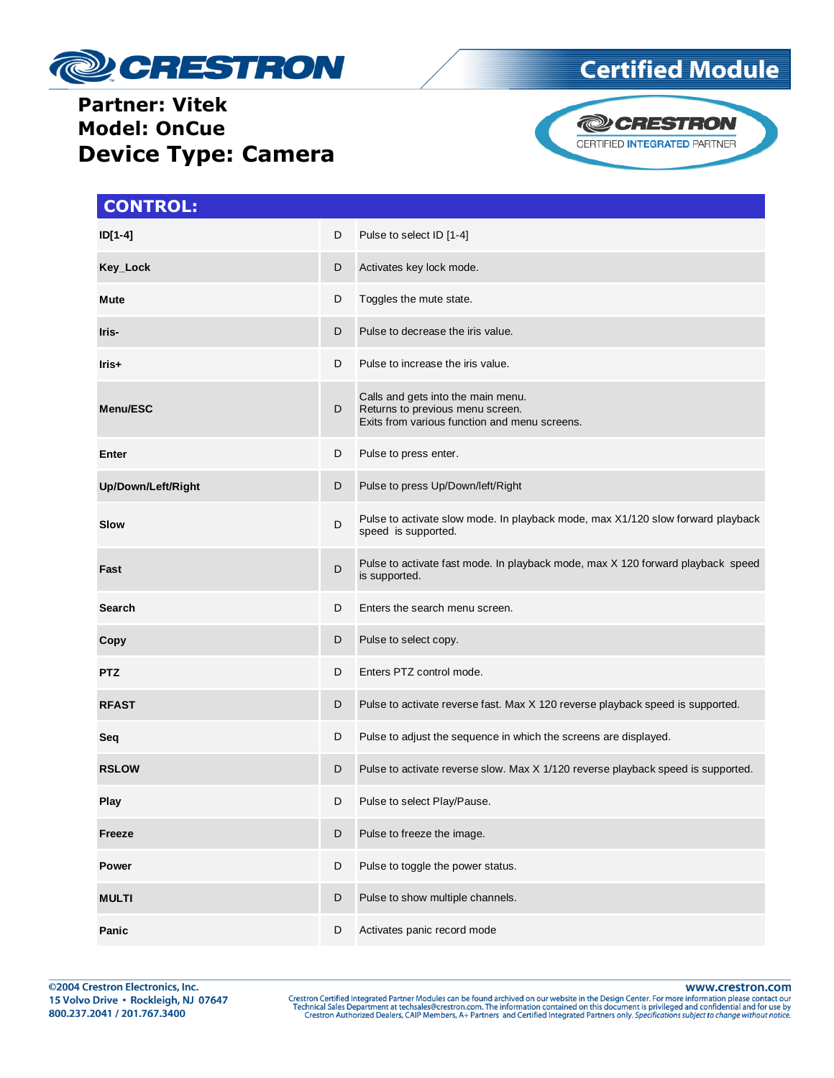

#### **Partner: Vitek Model: OnCue Device Type: Camera**





| <b>CONTROL:</b>    |   |                                                                                                                         |
|--------------------|---|-------------------------------------------------------------------------------------------------------------------------|
| $ID[1-4]$          | D | Pulse to select ID [1-4]                                                                                                |
| Key_Lock           | D | Activates key lock mode.                                                                                                |
| Mute               | D | Toggles the mute state.                                                                                                 |
| Iris-              | D | Pulse to decrease the iris value.                                                                                       |
| Iris+              | D | Pulse to increase the iris value.                                                                                       |
| Menu/ESC           | D | Calls and gets into the main menu.<br>Returns to previous menu screen.<br>Exits from various function and menu screens. |
| Enter              | D | Pulse to press enter.                                                                                                   |
| Up/Down/Left/Right | D | Pulse to press Up/Down/left/Right                                                                                       |
| Slow               | D | Pulse to activate slow mode. In playback mode, max X1/120 slow forward playback<br>speed is supported.                  |
| Fast               | D | Pulse to activate fast mode. In playback mode, max X 120 forward playback speed<br>is supported.                        |
| Search             | D | Enters the search menu screen.                                                                                          |
| Copy               | D | Pulse to select copy.                                                                                                   |
| <b>PTZ</b>         | D | Enters PTZ control mode.                                                                                                |
| <b>RFAST</b>       | D | Pulse to activate reverse fast. Max X 120 reverse playback speed is supported.                                          |
| Seq                | D | Pulse to adjust the sequence in which the screens are displayed.                                                        |
| <b>RSLOW</b>       | D | Pulse to activate reverse slow. Max X 1/120 reverse playback speed is supported.                                        |
| Play               | D | Pulse to select Play/Pause.                                                                                             |
| <b>Freeze</b>      | D | Pulse to freeze the image.                                                                                              |
| Power              | D | Pulse to toggle the power status.                                                                                       |
| <b>MULTI</b>       | D | Pulse to show multiple channels.                                                                                        |
| Panic              | D | Activates panic record mode                                                                                             |

www.crestron.com

Crestron Certified Integrated Partner Modules can be found archived on our website in the Design Center. For more information please contact our<br>Technical Sales Department at techsales@crestron.com. The information contain